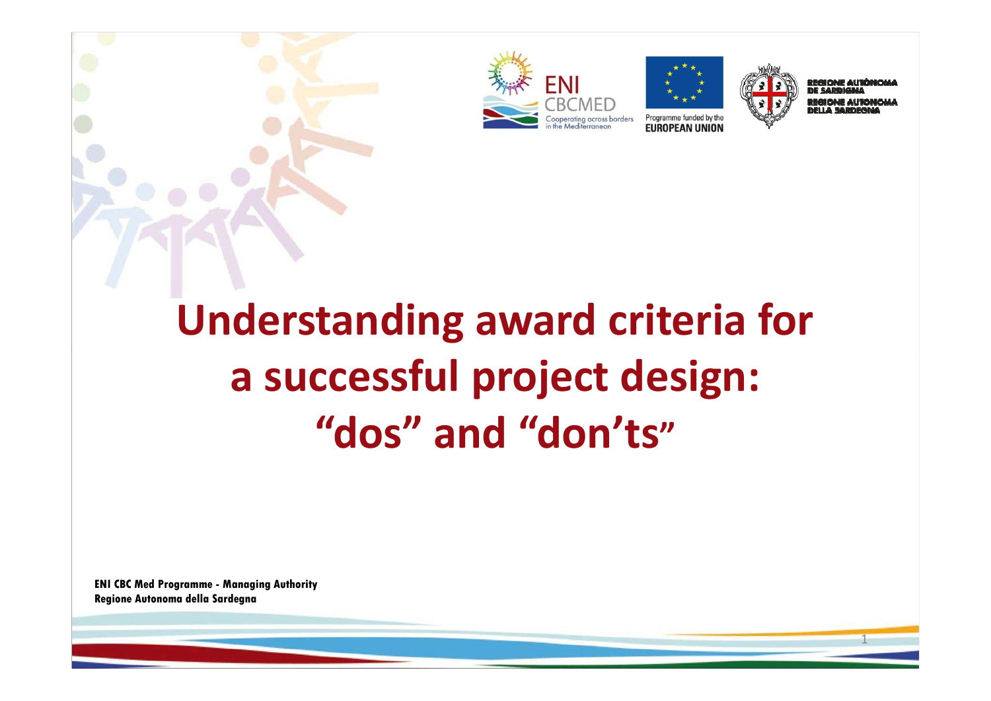





1

# **Understanding award criteria for a successful project design:"dos" and "don'ts"**

**ENI CBC Med Programme - Managing Authority Regione Autonoma della Sardegna**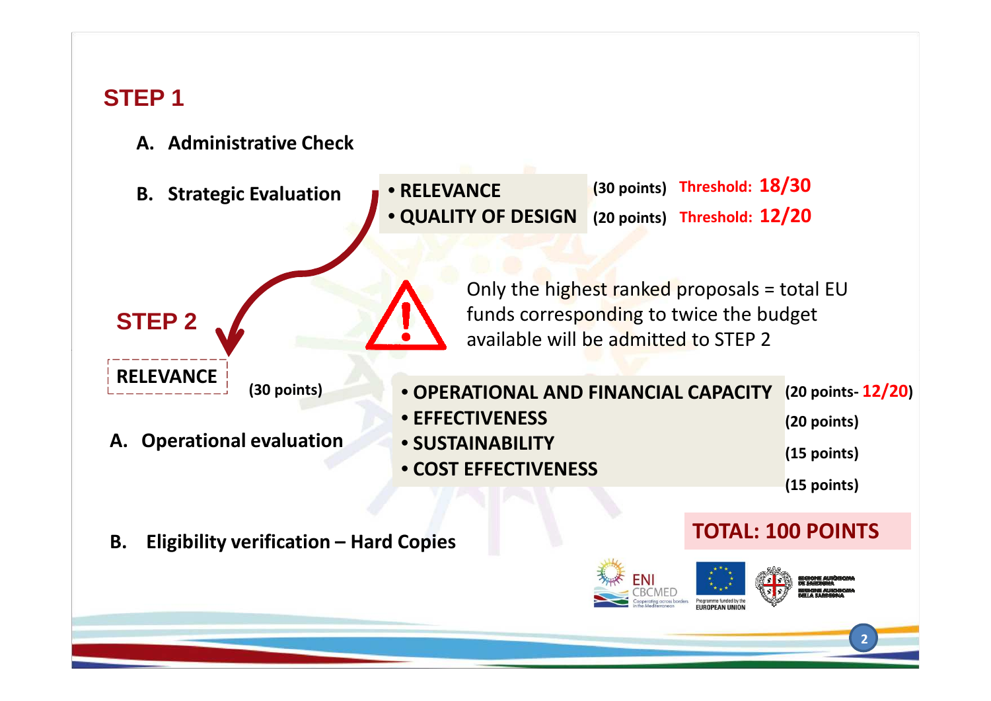#### **STEP 1**

- **A. Administrative Check**
- **(30 points)Threshold: 18/30** • **RELEVANCE B. Strategic Evaluation(20 points) Threshold: 12/20**• **QUALITY OF DESIGN**Only the highest ranked proposals = total EU funds corresponding to twice the budget **STEP 2**available will be admitted to STEP 2**RELEVANCE (30 points)**• **OPERATIONAL AND FINANCIAL CAPACITY (20 points- 12/20)** • **EFFECTIVENESS (20 points) A. Operational evaluation**• **SUSTAINABILITY (15 points)** • **COST EFFECTIVENESS(15 points) TOTAL: 100 POINTSB. Eligibility verification – Hard Copies**  FNI **Dreammen** funded buthe **2**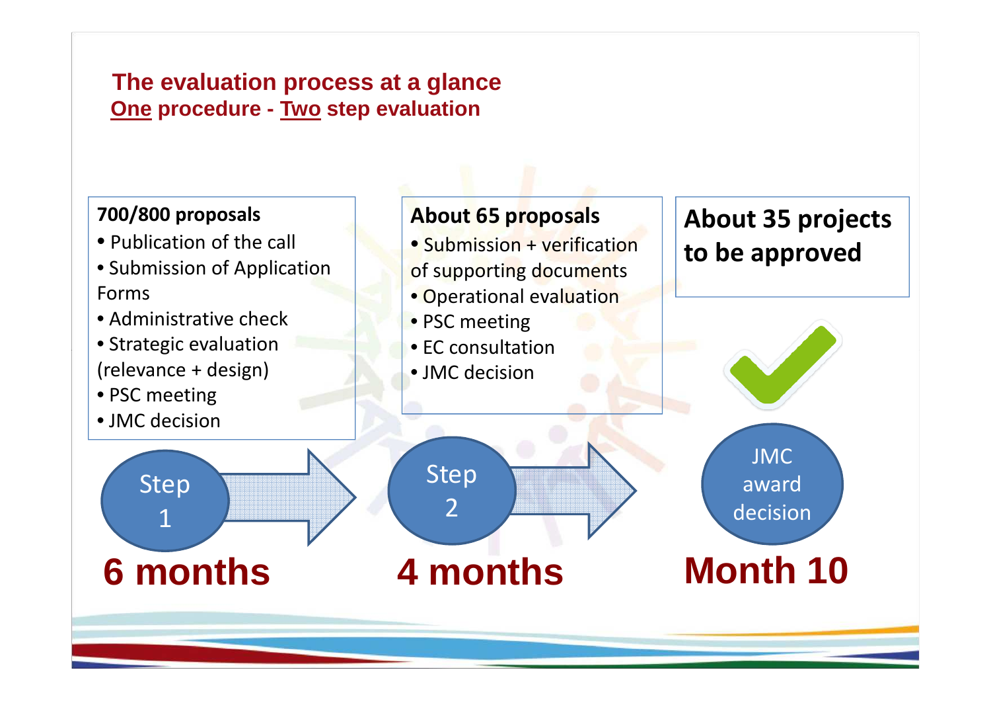#### **The evaluation process at a glanceOne procedure - Two step evaluation**

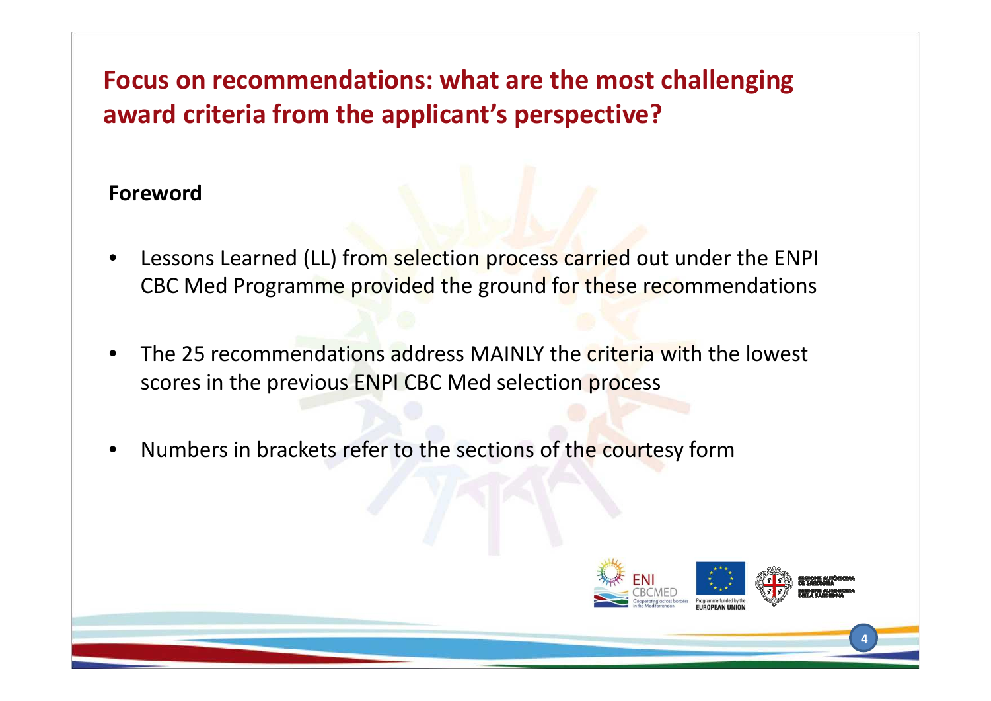## **Focus on recommendations: what are the most challenging award criteria from the applicant's perspective?**

#### **Foreword**

- • Lessons Learned (LL) from selection process carried out under the ENPI CBC Med Programme provided the ground for these recommendations
- • The 25 recommendations address MAINLY the criteria with the lowest scores in the previous ENPI CBC Med selection process
- •Numbers in brackets refer to the sections of the courtesy form

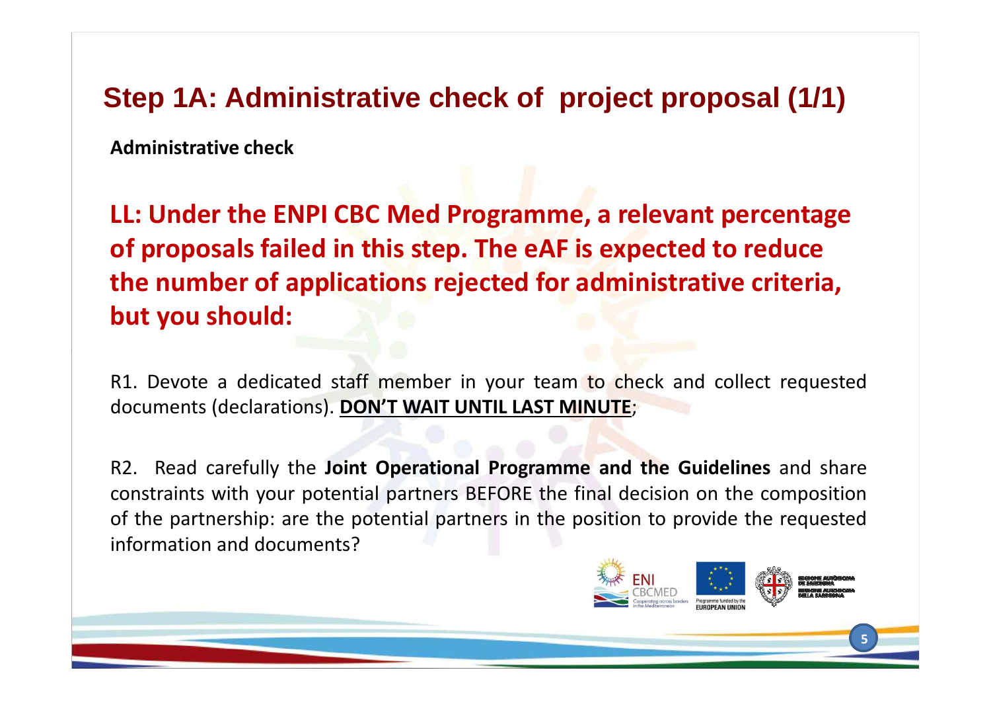## **Step 1A: Administrative check of project proposal (1/1)**

**Administrative check**

**LL: Under the ENPI CBC Med Programme, a relevant percentage of proposals failed in this step. The eAF is expected to reduce the number of applications rejected for administrative criteria, but you should:**

R1. Devote a dedicated staff member in your team to check and collect requested documents (declarations). **DON'T WAIT UNTIL LAST MINUTE**;

R2. Read carefully the **Joint Operational Programme and the Guidelines** and share constraints with your potential partners BEFORE the final decision on the composition of the partnership: are the potential partners in the position to provide the requestedinformation and documents?

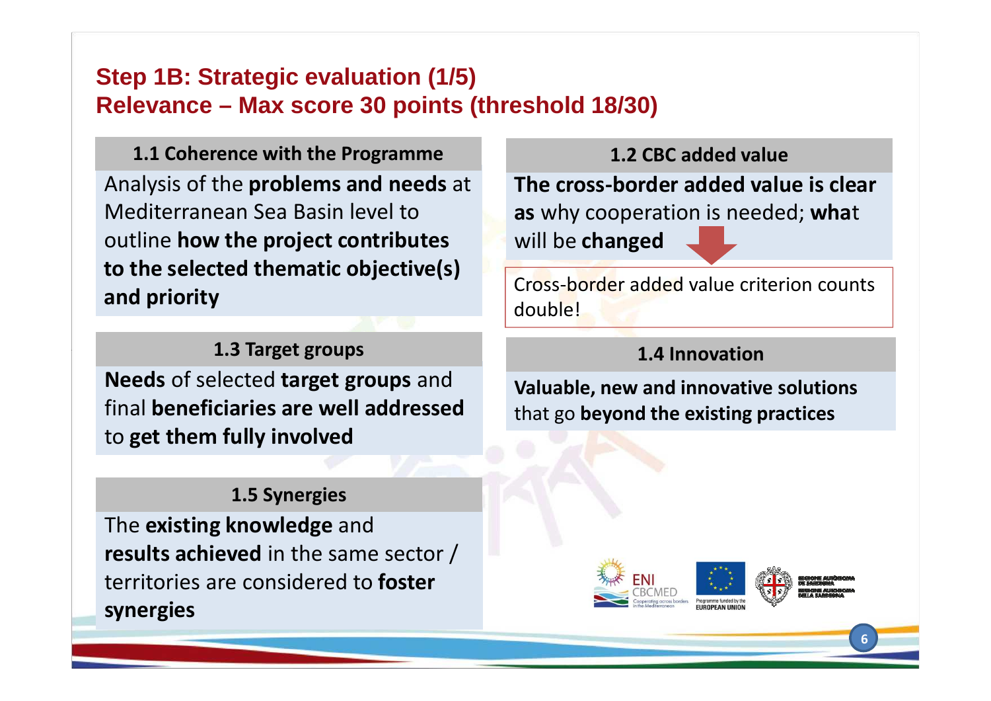#### **Step 1B: Strategic evaluation (1/5)Relevance – Max score 30 points (threshold 18/30)**

Analysis of the **problems and needs** at Mediterranean Sea Basin level to outline **how the project contributes to the selected thematic objective(s) and priority1.1 Coherence with the Programme**

#### **1.3 Target groups**

**Needs** of selected **target groups** and final **beneficiaries are well addressed** to **get them fully involved**

#### **1.5 Synergies**

The **existing knowledge** and **results achieved** in the same sector / territories are considered to **foster synergies** 

**The cross-border added value is clear as** why cooperation is needed; **wha**<sup>t</sup>will be **changed 1.2 CBC added value**

Cross-border added value criterion counts double!

#### **1.4 Innovation**

**Valuable, new and innovative solutions** that go **beyond the existing practices**

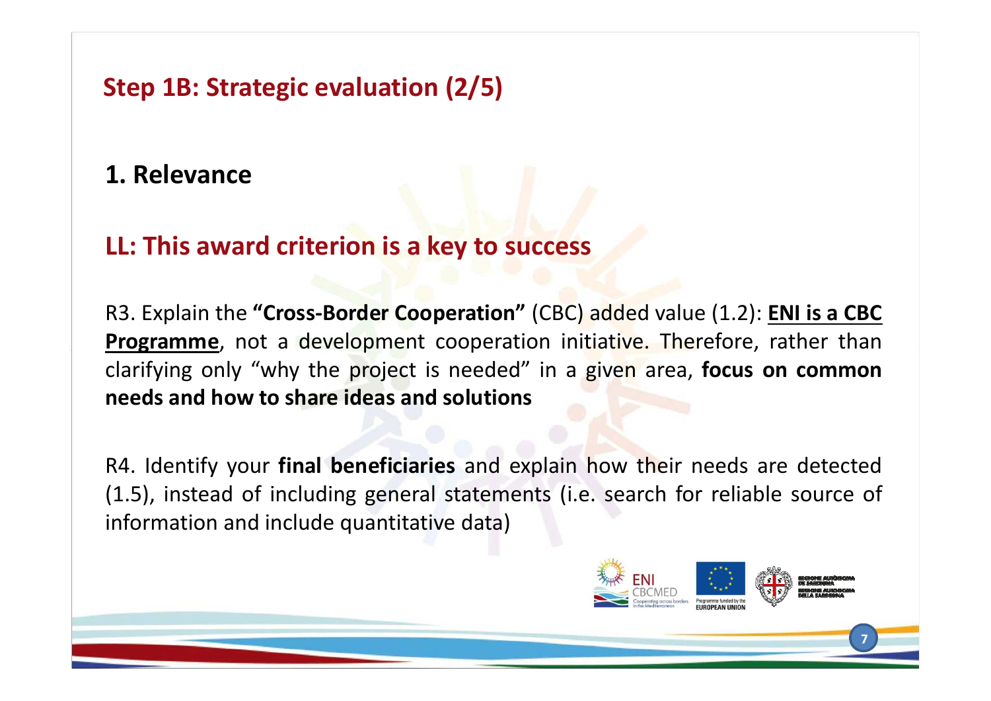**Step 1B: Strategic evaluation (2/5)**

#### **1. Relevance**

#### **LL: This award criterion is a key to success**

R3. Explain the **"Cross-Border Cooperation"** (CBC) added value (1.2): **ENI is <sup>a</sup> CBC Programme**, not <sup>a</sup> development cooperation initiative. Therefore, rather than clarifying only "why the project is needed" in <sup>a</sup> given area, **focus on commonneeds and how to share ideas and solutions**

R4. Identify your **final beneficiaries** and explain how their needs are detected (1.5), instead of including general statements (i.e. search for reliable source of information and include quantitative data)

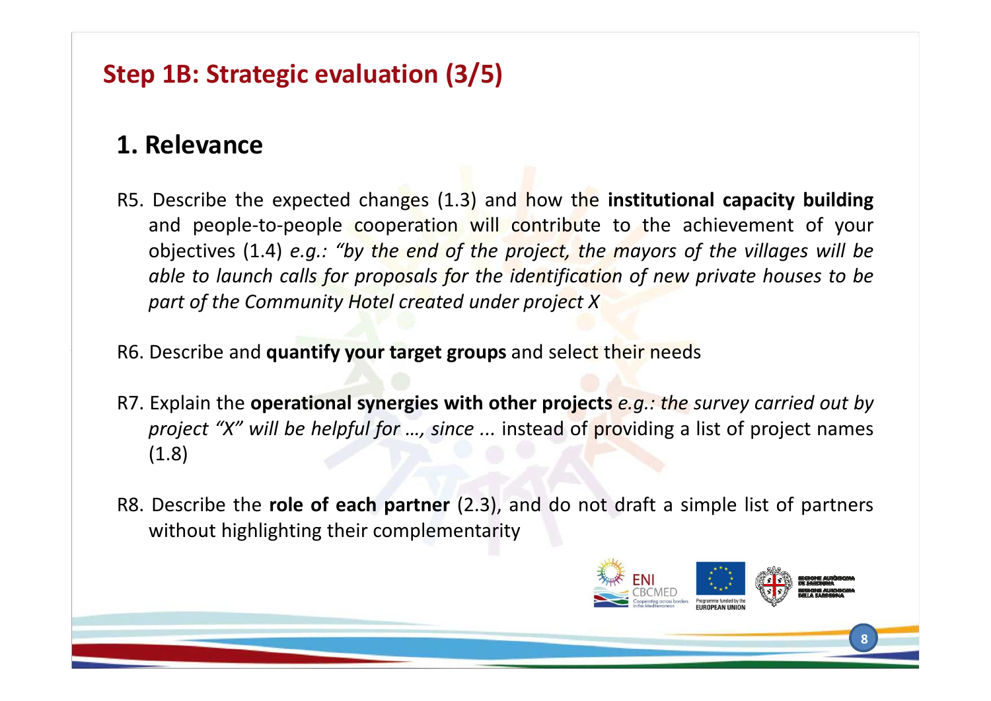## **Step 1B: Strategic evaluation (3/5)**

## **1. Relevance**

- R5. Describe the expected changes (1.3) and how the **institutional capacity building** and people-to-people cooperation will contribute to the achievement of your objectives (1.4) e.g.: "by the end of the project, the mayors of the villages will be able to launch calls for proposals for the identification of new private houses to be *part of the Community Hotel created under project <sup>X</sup>*
- R6. Describe and **quantify your target groups** and select their needs
- R7. Explain the operational synergies with other projects e.g.: the survey carried out by *project "X" will be helpful for …, since ...* instead of providing <sup>a</sup> list of project names (1.8)
- R8. Describe the **role of each partner** (2.3), and do not draft <sup>a</sup> simple list of partners without highlighting their complementarity

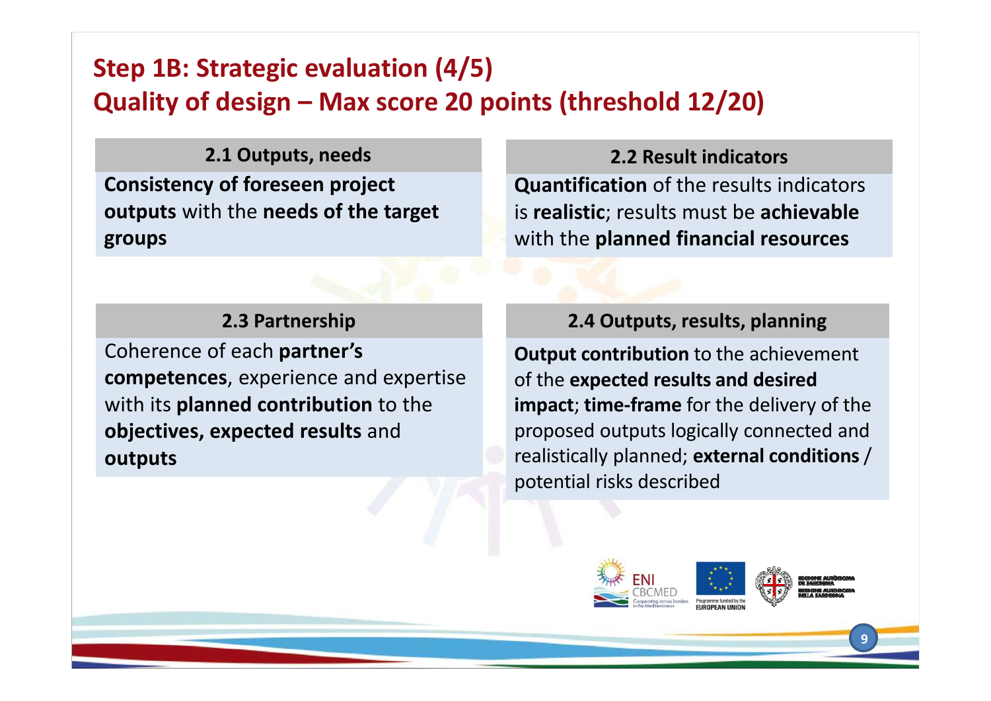## **Step 1B: Strategic evaluation (4/5)Quality of design – Max score 20 points (threshold 12/20)**

**Consistency of foreseen project outputs** with the **needs of the target groups2.1 Outputs, needs**

#### **2.3 Partnership**

Coherence of each **partner's competences**, experience and expertise with its **planned contribution** to the **objectives, expected results** and**outputs**

#### **2.2 Result indicators**

**Quantification** of the results indicators is **realistic**; results must be **achievable** with the **planned financial resources**

#### **2.4 Outputs, results, planning**

**Output contribution** to the achievement of the **expected results and desired impact**; **time-frame** for the delivery of the proposed outputs logically connected and realistically planned; **external conditions** / potential risks described

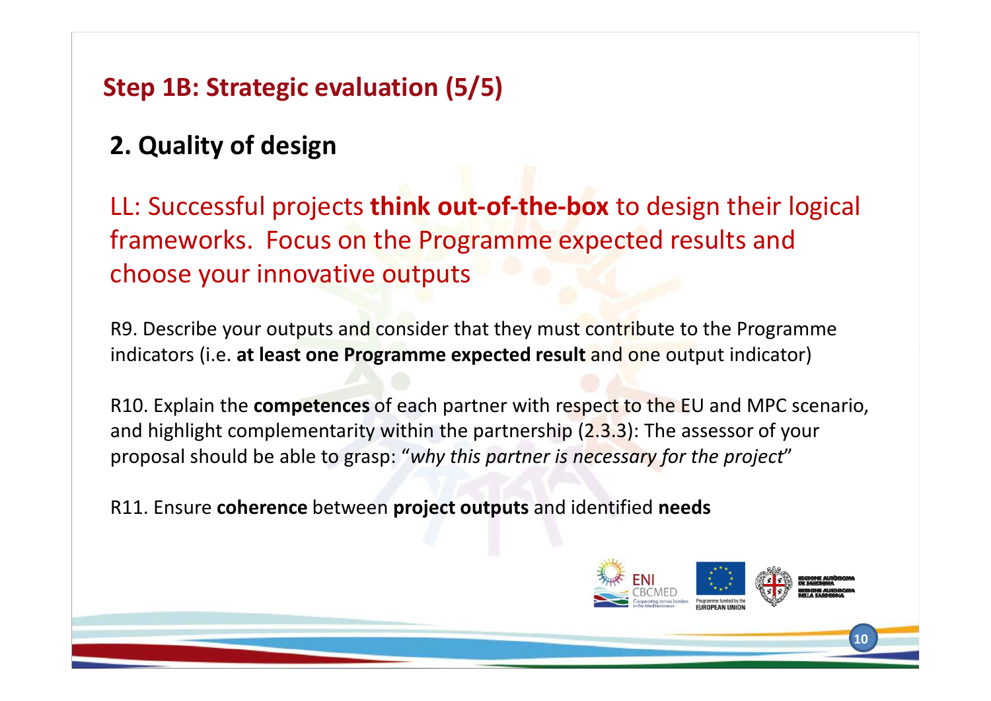## **Step 1B: Strategic evaluation (5/5)**

## **2. Quality of design**

LL: Successful projects **think out-of-the-box** to design their logical frameworks. Focus on the Programme expected results and choose your innovative outputs

R9. Describe your outputs and consider that they must contribute to the Programme indicators (i.e. **at least one Programme expected result** and one output indicator)

R10. Explain the **competences** of each partner with respect to the EU and MPC scenario, and highlight complementarity within the partnership (2.3.3): The assessor of your proposal should be able to grasp: "*why this partner is necessary for the project*"

R11. Ensure **coherence** between **project outputs** and identified **needs**

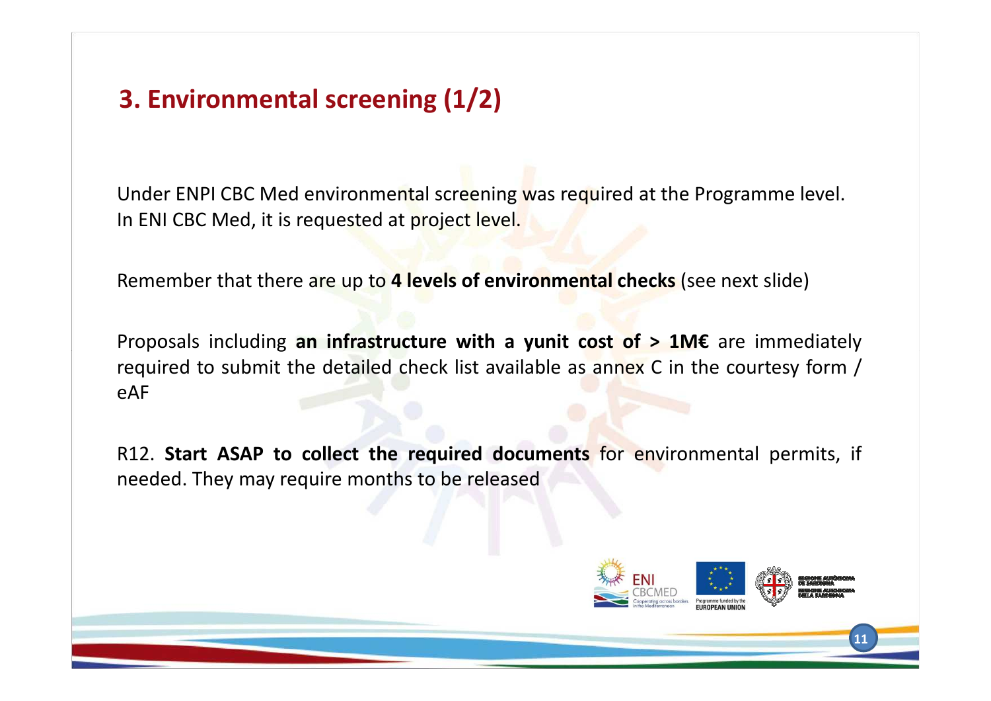## **3. Environmental screening (1/2)**

Under ENPI CBC Med environmental screening was required at the Programme level. In ENI CBC Med, it is requested at project level.

Remember that there are up to **<sup>4</sup> levels of environmental checks** (see next slide)

Proposals including **an infrastructure with <sup>a</sup> yunit cost of <sup>&</sup>gt; 1M€** are immediately required to submit the detailed check list available as annex <sup>C</sup> in the courtesy form / eAF

R12. **Start ASAP to collect the required documents** for environmental permits, if needed. They may require months to be released

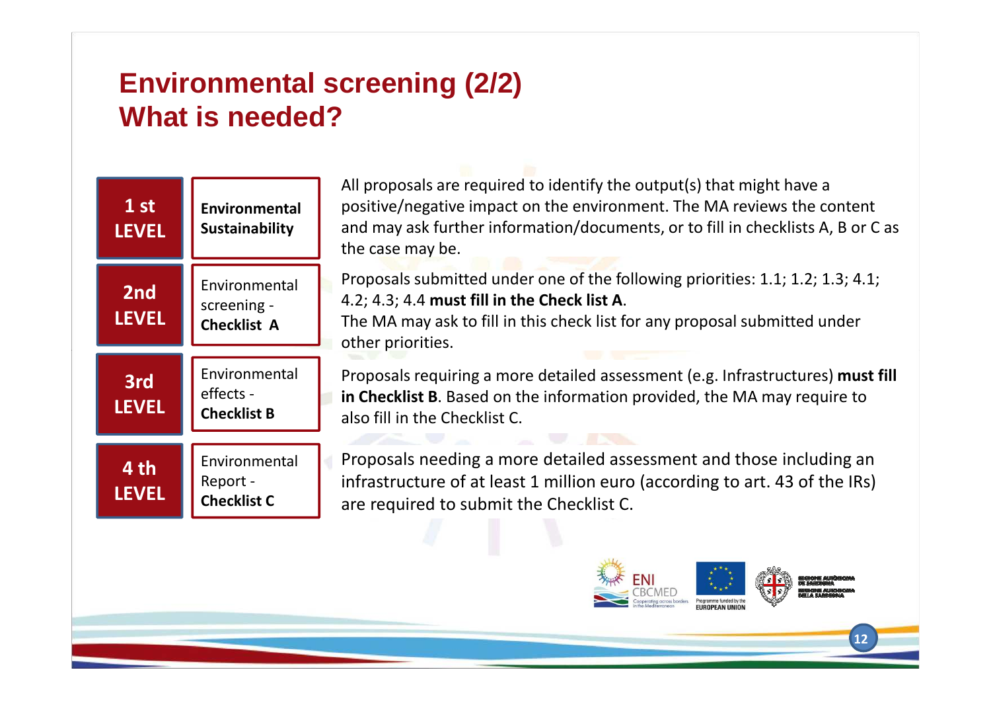## **Environmental screening (2/2)What is needed?**



All proposals are required to identify the output(s) that might have a positive/negative impact on the environment. The MA reviews the content and may ask further information/documents, or to fill in checklists A, B or C as the case may be.

Proposals submitted under one of the following priorities: 1.1; 1.2; 1.3; 4.1; 4.2; 4.3; 4.4 **must fill in the Check list A**.

The MA may ask to fill in this check list for any proposal submitted under other priorities.

Proposals requiring a more detailed assessment (e.g. Infrastructures) **must fill in Checklist B**. Based on the information provided, the MA may require to also fill in the Checklist C.

Proposals needing a more detailed assessment and those including an infrastructure of at least 1 million euro (according to art. 43 of the IRs) are required to submit the Checklist C.

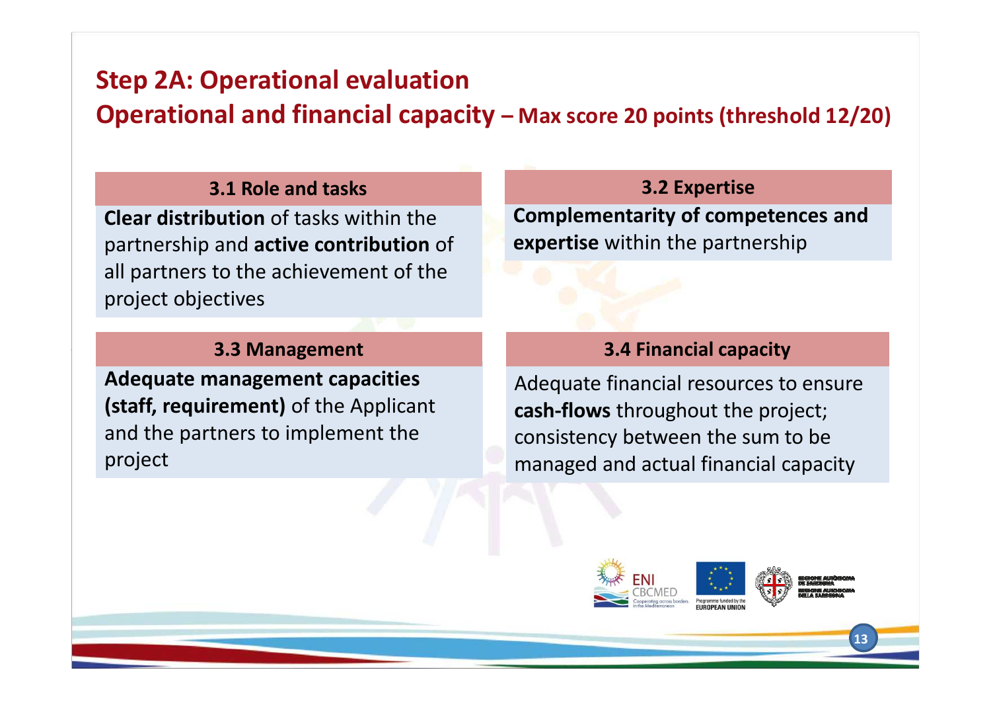**Operational and financial capacity – Max score 20 points (threshold 12/20)**

#### **3.1 Role and tasks**

**Clear distribution** of tasks within the partnership and **active contribution** of all partners to the achievement of the project objectives

#### **3.2 Expertise**

**Complementarity of competences and expertise** within the partnership

#### **3.3 Management**

**Adequate management capacities (staff, requirement)** of the Applicant and the partners to implement the project

#### **3.4 Financial capacity**

Adequate financial resources to ensure **cash-flows** throughout the project; consistency between the sum to be managed and actual financial capacity

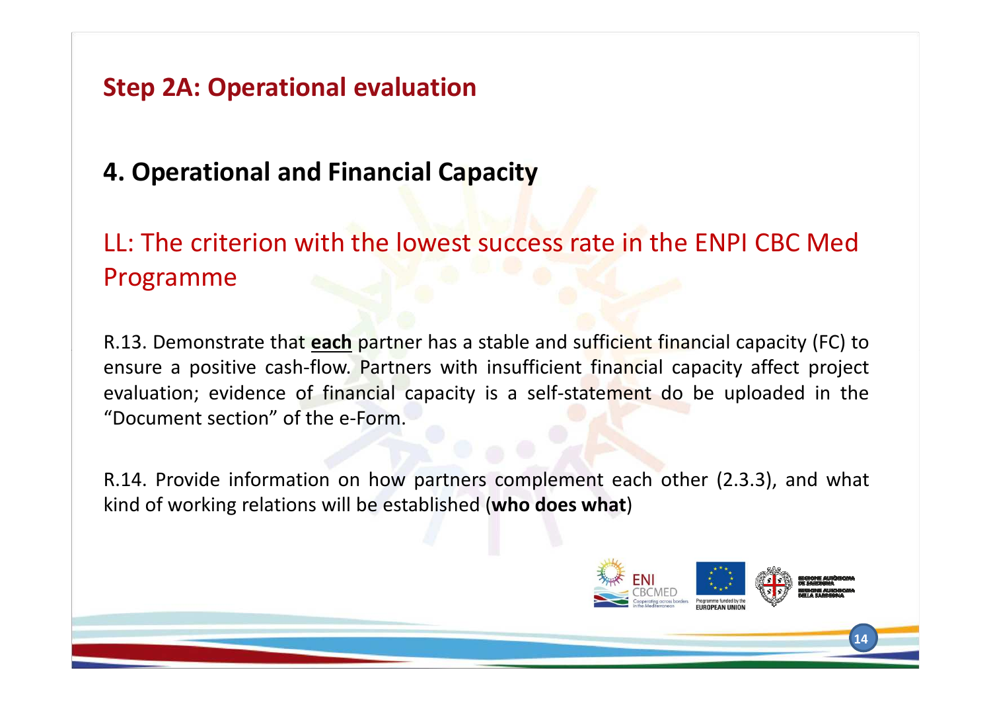## **4. Operational and Financial Capacity**

## LL: The criterion with the lowest success rate in the ENPI CBC Med Programme

R.13. Demonstrate that **each** partner has <sup>a</sup> stable and sufficient financial capacity (FC) to ensure <sup>a</sup> positive cash-flow. Partners with insufficient financial capacity affect project evaluation; evidence of financial capacity is <sup>a</sup> self-statement do be uploaded in the "Document section" of the e-Form.

R.14. Provide information on how partners complement each other (2.3.3), and what kind of working relations will be established (**who does what**)

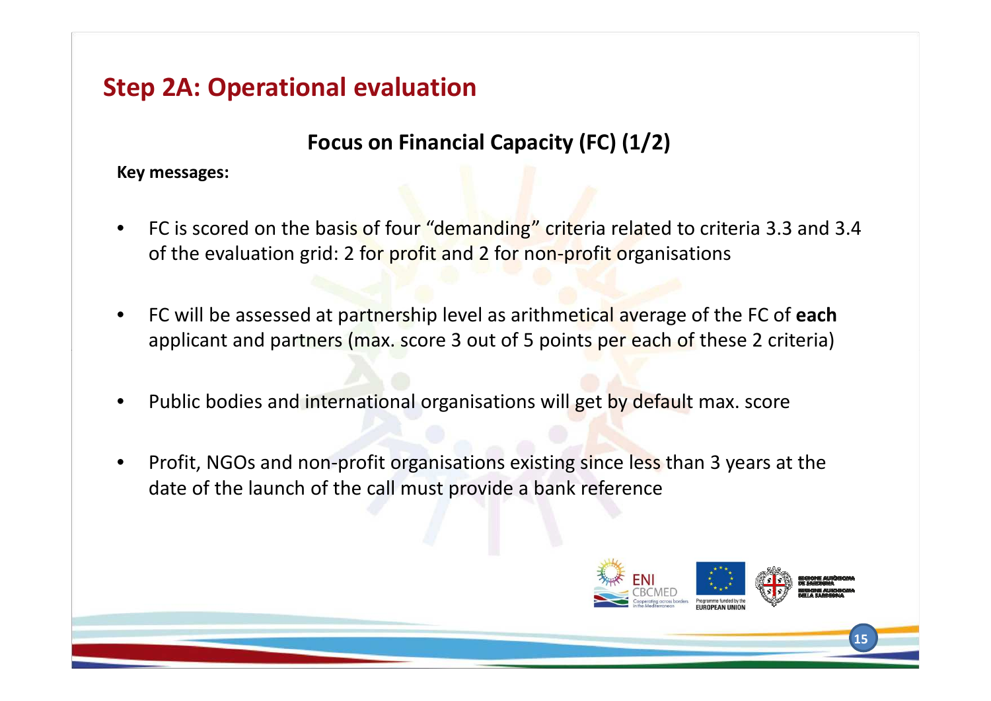#### **Focus on Financial Capacity (FC) (1/2)**

**Key messages:**

- •FC is scored on the basis of four "demanding" criteria related to criteria 3.3 and 3.4 of the evaluation grid: 2 for profit and 2 for non-profit organisations
- • FC will be assessed at partnership level as arithmetical average of the FC of **each**applicant and partners (max. score 3 out of 5 points per each of these 2 criteria)
- $\bullet$ Public bodies and international organisations will get by default max. score
- • Profit, NGOs and non-profit organisations existing since less than 3 years at the date of the launch of the call must provide a bank reference

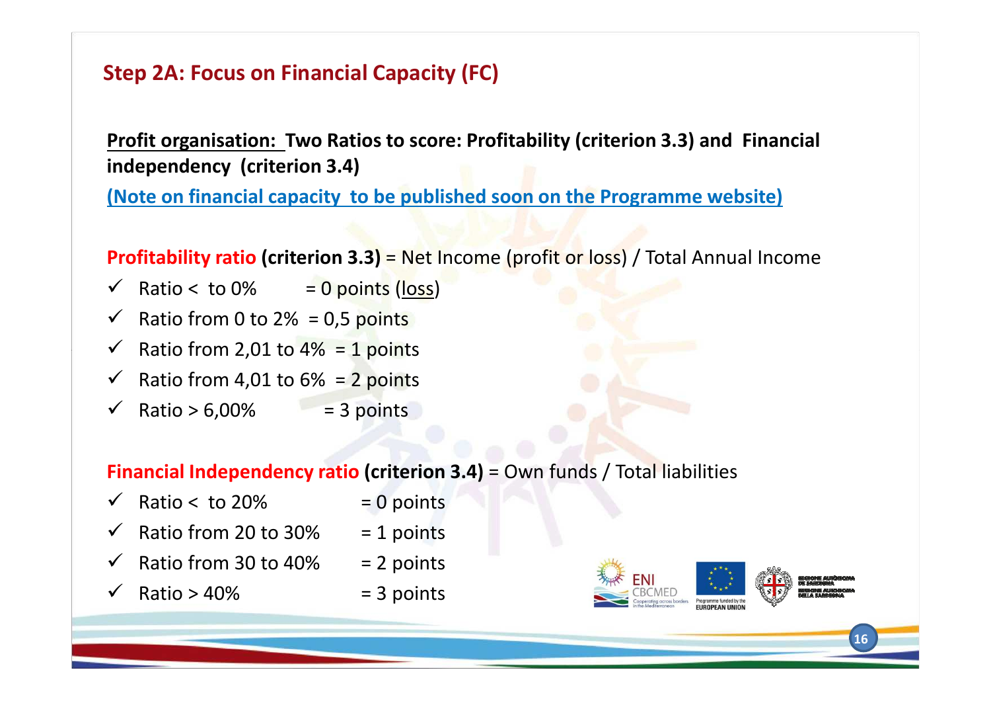#### **Step 2A: Focus on Financial Capacity (FC)**

**Profit organisation: Two Ratios to score: Profitability (criterion 3.3) and Financial independency (criterion 3.4)**

**(Note on financial capacity to be published soon on the Programme website)**

**Profitability ratio (criterion 3.3)** = Net Income (profit or loss) / Total Annual Income

- $\checkmark$  Ratio < to 0% = 0 points (loss)
- $\checkmark$  Ratio from 0 to 2% = 0,5 points
- $\checkmark$  Ratio from 2,01 to 4% = 1 points
- $\checkmark$  Ratio from 4,01 to 6% = 2 points
- $\checkmark$  Ratio > 6,00% = 3 points

#### **Financial Independency ratio (criterion 3.4)** = Own funds / Total liabilities

- $\checkmark$  Ratio < to 20% = 0 points
- $\checkmark$  Ratio from 20 to 30% = 1 points
- $\checkmark$  Ratio from 30 to 40% = 2 points
- $\sqrt{ }$  Ratio > 40%  $=$  3 points

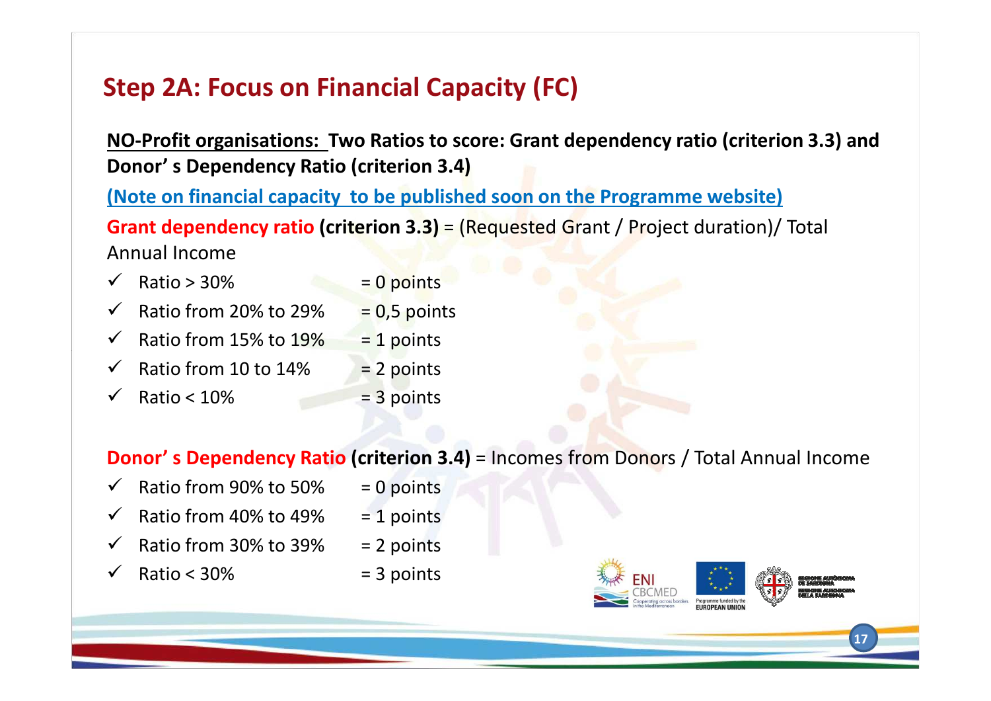## **Step 2A: Focus on Financial Capacity (FC)**

**NO-Profit organisations: Two Ratios to score: Grant dependency ratio (criterion 3.3) and Donor' s Dependency Ratio (criterion 3.4)**

**(Note on financial capacity to be published soon on the Programme website)Grant dependency ratio (criterion 3.3) = (Requested Grant / Project duration)/ Total** Annual Income

- $\overline{\phantom{a}}$  Ratio > 30%  $\overline{\phantom{a}}$  = 0 points  $\checkmark$ Ratio from 20% to 29%  $= 0.5$  points<br>Ratio from 15% to 19%  $= 1$  points
- $\checkmark$ Ratio from  $15\%$  to  $19\%$  = 1 points<br>Ratio from 10 to  $14\%$  = 2 points
- $\checkmark$ Ratio from 10 to  $14\%$  = 2 points<br>Ratio <  $10\%$  = 3 points
- $\checkmark$ Ratio  $< 10\%$

**Donor' s Dependency Ratio (criterion 3.4)** = Incomes from Donors / Total Annual Income

- $\checkmark$  Ratio from 90% to 50% = 0 points
- $\checkmark$ Ratio from 40% to 49%  $= 1$  points<br>Ratio from 30% to 39%  $= 2$  points
- $\checkmark$ Ratio from 30% to 39%  $= 2$  points<br>Ratio < 30%  $= 3$  points
- $\checkmark$ Ratio  $<$  30%

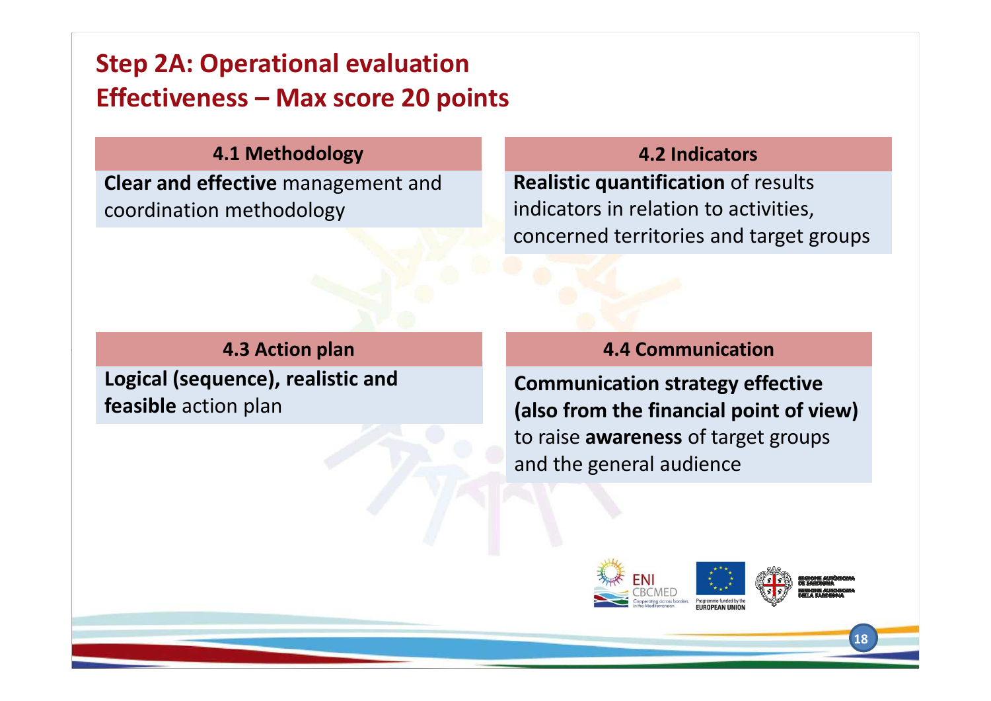## **Step 2A: Operational evaluation Effectiveness – Max score 20 points**

#### **4.1 Methodology**

**Clear and effective** management and coordination methodology

#### **4.2 Indicators**

**Realistic quantification** of results indicators in relation to activities,concerned territories and target groups

#### **4.3 Action plan**

**Logical (sequence), realistic and feasible** action plan

#### **4.4 Communication**

**Communication strategy effective (also from the financial point of view)**to raise **awareness** of target groups and the general audience

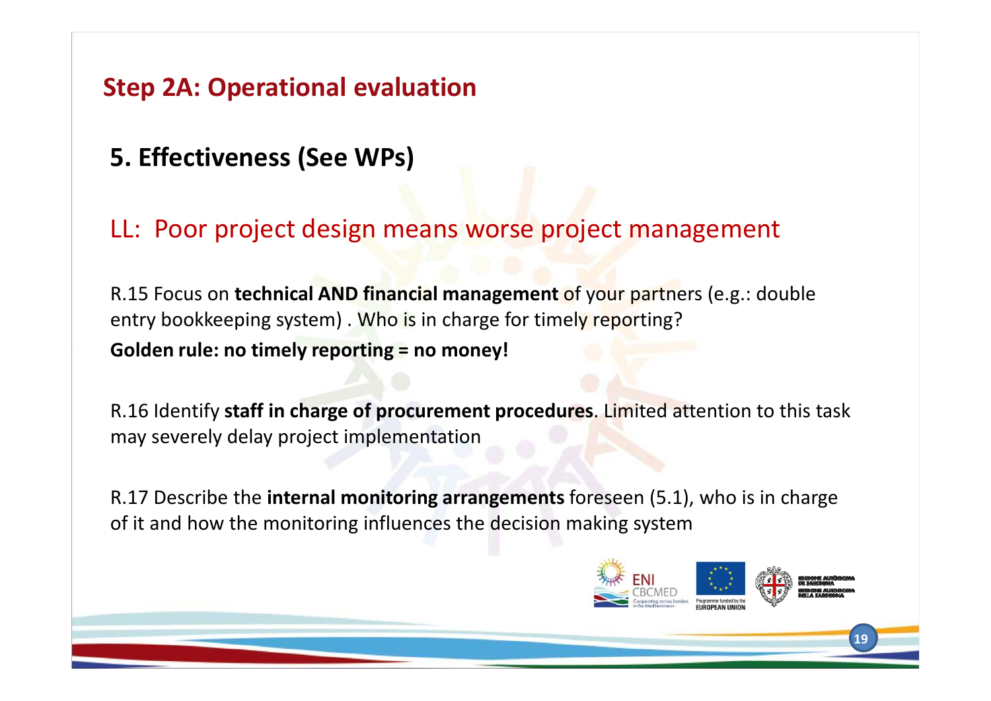- **5. Effectiveness (See WPs)**
- LL: Poor project design means worse project management

R.15 Focus on **technical AND financial management** of your partners (e.g.: double entry bookkeeping system) . Who is in charge for timely reporting?

**Golden rule: no timely reporting = no money!**

R.16 Identify **staff in charge of procurement procedures**. Limited attention to this task may severely delay project implementation

R.17 Describe the **internal monitoring arrangements** foreseen (5.1), who is in charge of it and how the monitoring influences the decision making system

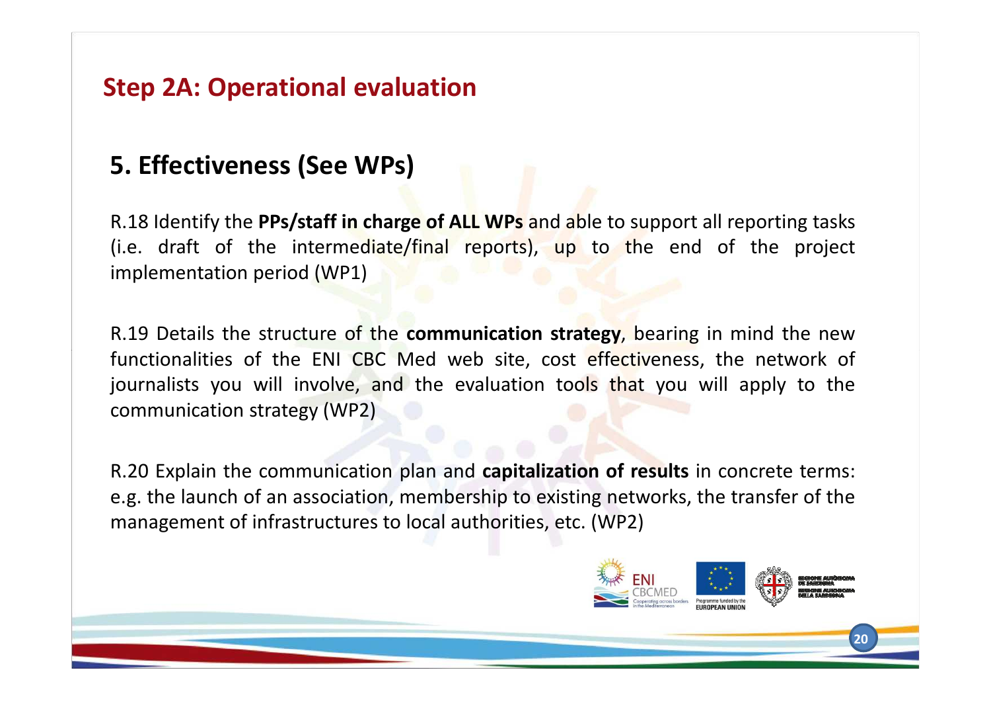## **5. Effectiveness (See WPs)**

R.18 Identify the **PPs/staff in charge of ALL WPs** and able to support all reporting tasks (i.e. draft of the intermediate/final reports), up to the end of the project implementation period (WP1)

R.19 Details the structure of the **communication strategy**, bearing in mind the newfunctionalities of the ENI CBC Med web site, cost effectiveness, the network of journalists you will involve, and the evaluation tools that you will apply to the communication strategy (WP2)

R.20 Explain the communication plan and **capitalization of results** in concrete terms: e.g. the launch of an association, membership to existing networks, the transfer of the management of infrastructures to local authorities, etc. (WP2)

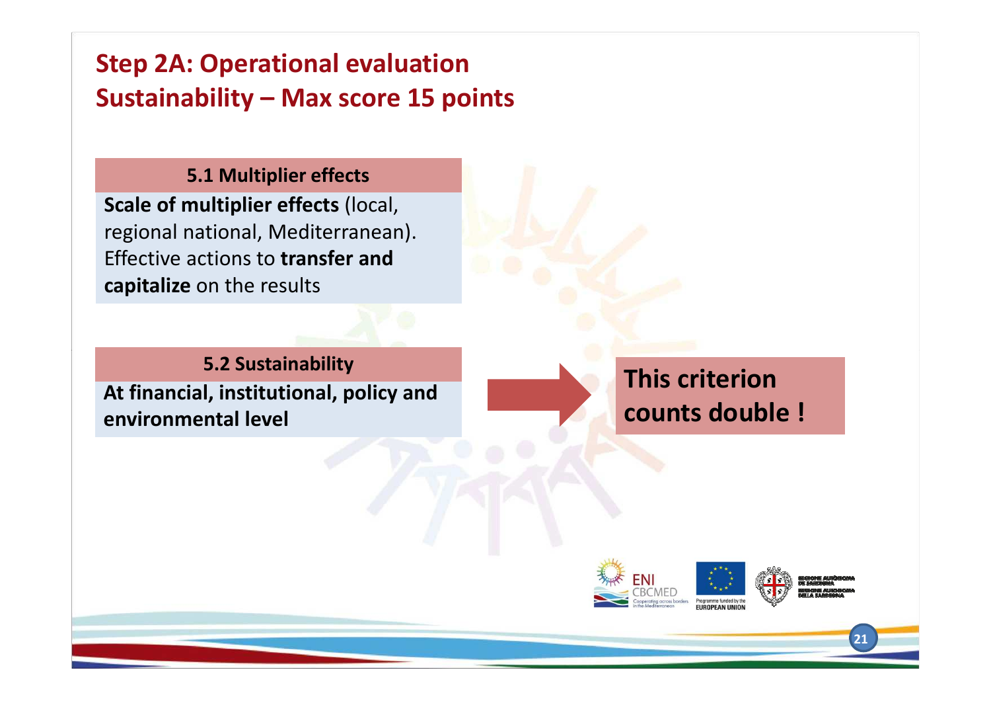## **Step 2A: Operational evaluation Sustainability – Max score 15 points**

#### **5.1 Multiplier effects**

**Scale of multiplier effects** (local, regional national, Mediterranean). Effective actions to **transfer and capitalize** on the results

**At financial, institutional, policy and environmental level5.2 Sustainability**

 **This criterion counts double !**

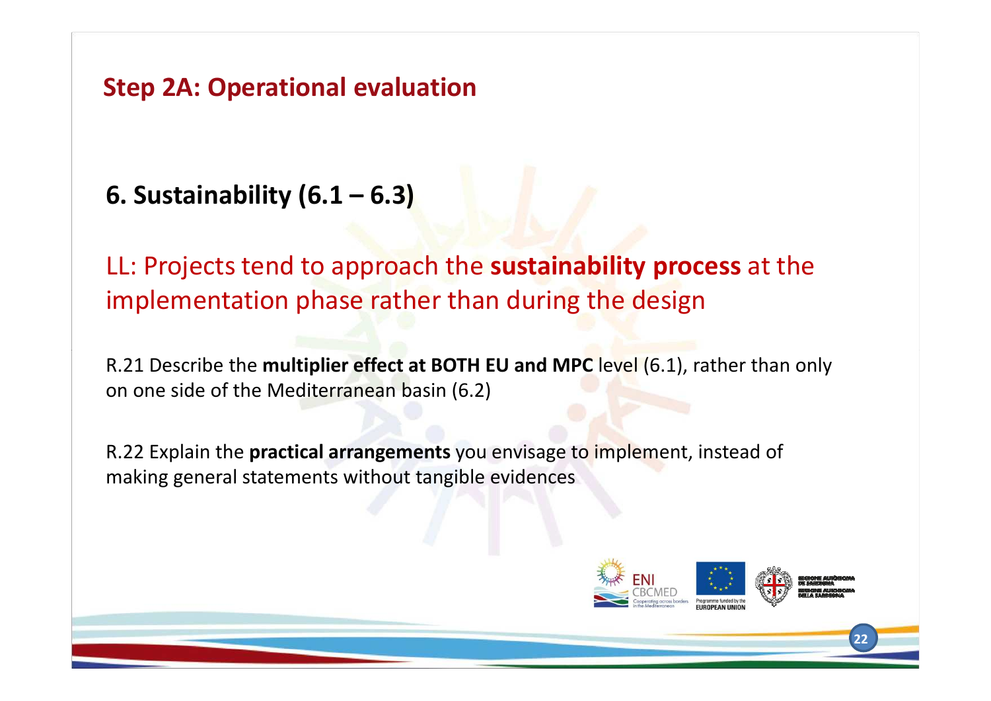## **6. Sustainability (6.1 – 6.3)**

LL: Projects tend to approach the **sustainability process** at the implementation phase rather than during the design

R.21 Describe the **multiplier effect at BOTH EU and MPC** level (6.1), rather than only on one side of the Mediterranean basin (6.2)

R.22 Explain the **practical arrangements** you envisage to implement, instead of making general statements without tangible evidences

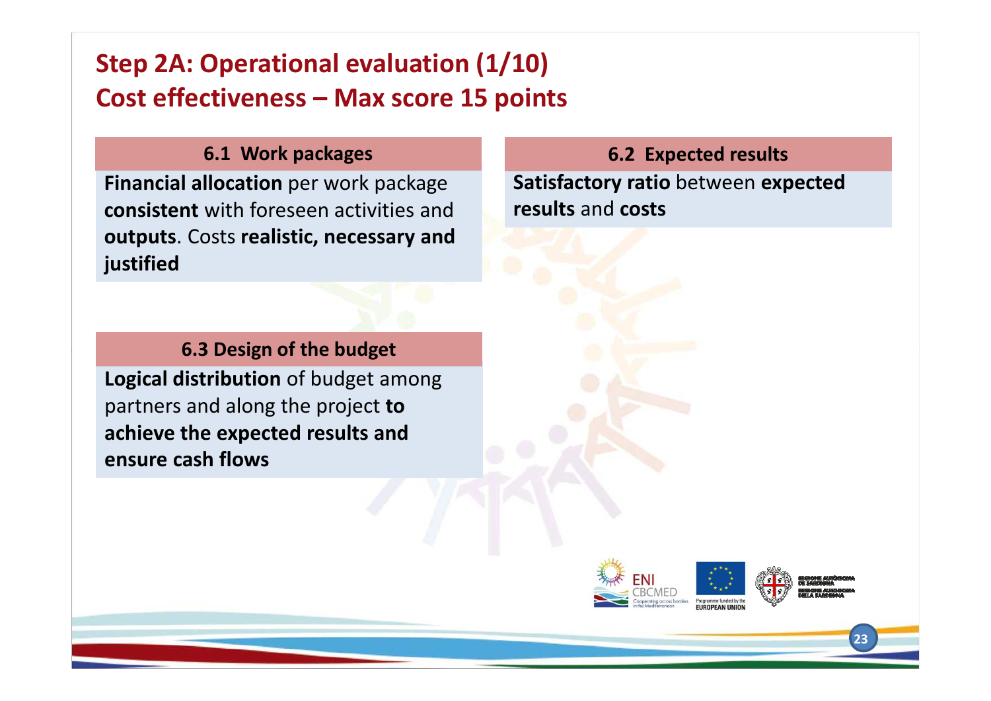## **Step 2A: Operational evaluation (1/10)Cost effectiveness – Max score 15 points**

#### **6.1 Work packages**

**Financial allocation** per work package **consistent** with foreseen activities and **outputs**. Costs **realistic, necessary and justified**

#### **6.3 Design of the budget**

**Logical distribution** of budget among partners and along the project **to achieve the expected results and ensure cash flows**

**Satisfactory ratio** between **expectedresults** and **costs 6.2 Expected results**

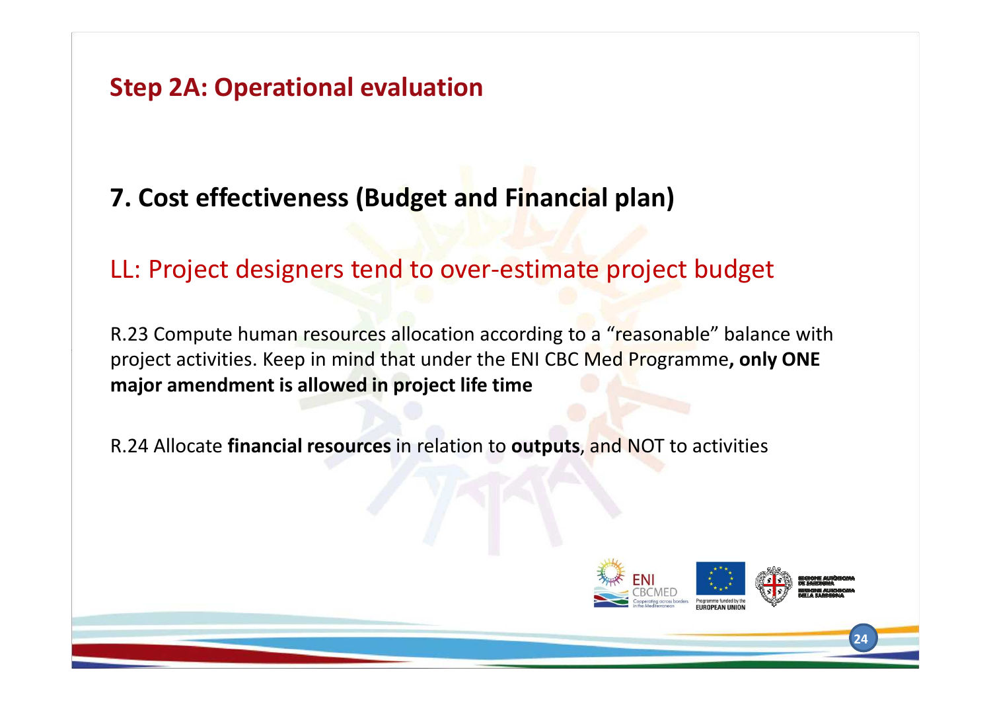## **7. Cost effectiveness (Budget and Financial plan)**

### LL: Project designers tend to over-estimate project budget

R.23 Compute human resources allocation according to a "reasonable" balance with project activities. Keep in mind that under the ENI CBC Med Programme**, only ONE major amendment is allowed in project life time**

R.24 Allocate **financial resources** in relation to **outputs**, and NOT to activities

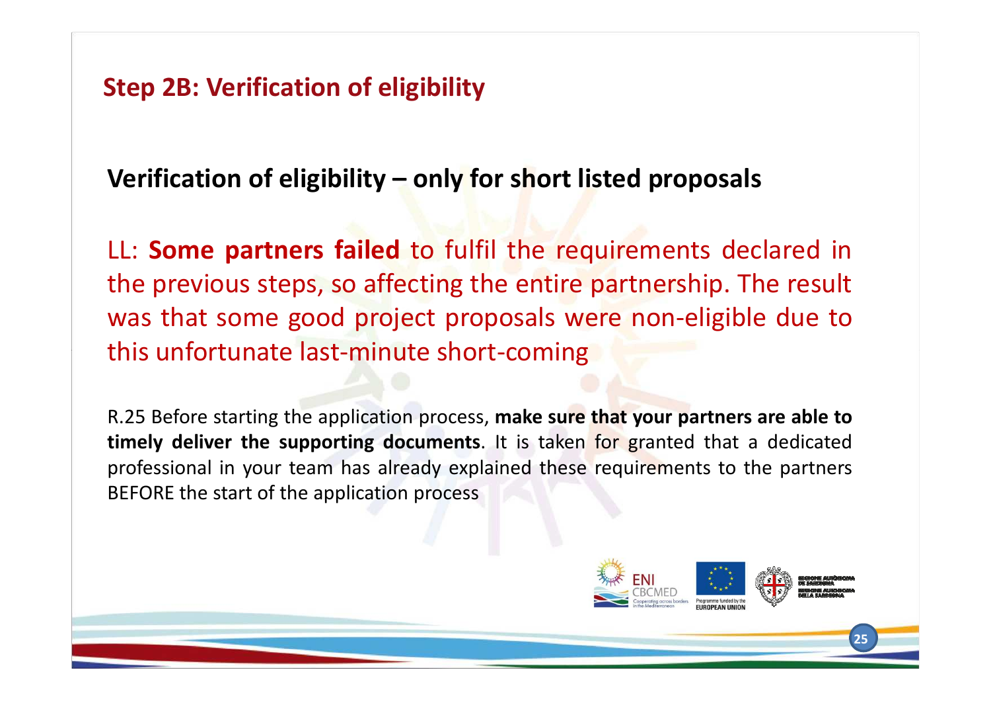**Step 2B: Verification of eligibility** 

## **Verification of eligibility – only for short listed proposals**

LL: **Some partners failed** to fulfil the requirements declared in the previous steps, so affecting the entire partnership. The result was that some good project proposals were non-eligible due tothis unfortunate last-minute short-coming

R.25 Before starting the application process, **make sure that your partners are able to timely deliver the supporting documents**. It is taken for granted that <sup>a</sup> dedicated professional in your team has already explained these requirements to the partners BEFORE the start of the application process

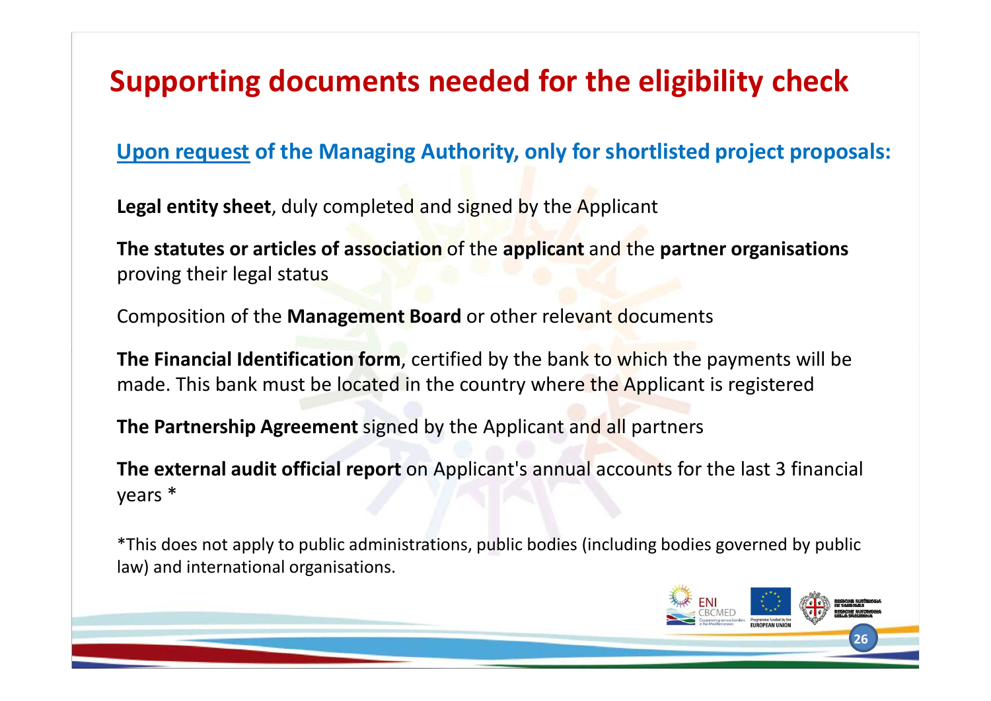## **Supporting documents needed for the eligibility check**

#### **Upon request of the Managing Authority, only for shortlisted project proposals:**

**Legal entity sheet**, duly completed and signed by the Applicant

**The statutes or articles of association** of the **applicant** and the **partner organisations** proving their legal status

Composition of the **Management Board** or other relevant documents

**The Financial Identification form**, certified by the bank to which the payments will be made. This bank must be located in the country where the Applicant is registered

**The Partnership Agreement** signed by the Applicant and all partners

**The external audit official report** on Applicant's annual accounts for the last 3 financial years \*

\*This does not apply to public administrations, public bodies (including bodies governed by public law) and international organisations.